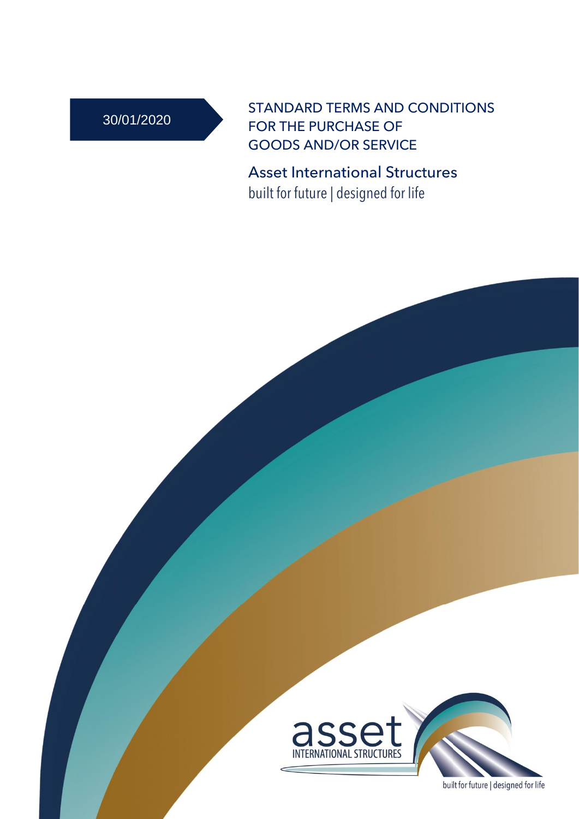# 30/01/2020

STANDARD TERMS AND CONDITIONS FOR THE PURCHASE OF GOODS AND/OR SERVICE

Asset International Structures built for future | designed for life



built for future | designed for life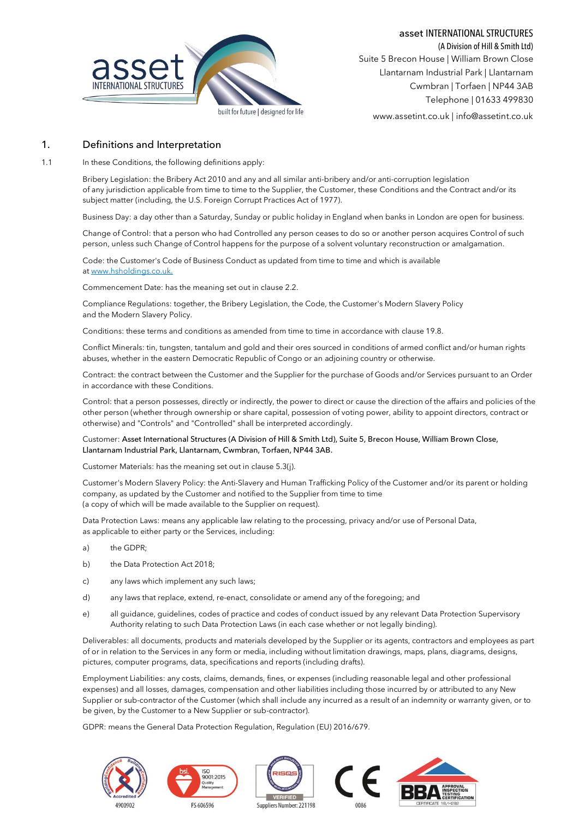

asset INTERNATIONAL STRUCTURES

(A Division of Hill & Smith Ltd) Suite 5 Brecon House | William Brown Close Llantarnam Industrial Park | Llantarnam Cwmbran | Torfaen | NP44 3AB Telephone | 01633 499830

www.assetint.co.uk | info@assetint.co.uk

### 1. Definitions and Interpretation

1.1 In these Conditions, the following definitions apply:

Bribery Legislation: the Bribery Act 2010 and any and all similar anti-bribery and/or anti-corruption legislation of any jurisdiction applicable from time to time to the Supplier, the Customer, these Conditions and the Contract and/or its subject matter (including, the U.S. Foreign Corrupt Practices Act of 1977).

Business Day: a day other than a Saturday, Sunday or public holiday in England when banks in London are open for business.

Change of Control: that a person who had Controlled any person ceases to do so or another person acquires Control of such person, unless such Change of Control happens for the purpose of a solvent voluntary reconstruction or amalgamation.

Code: the Customer's Code of Business Conduct as updated from time to time and which is available at [www.hsholdings.co.uk.](http://www.hsholdings.co.uk/)

Commencement Date: has the meaning set out in claus[e 2.2.](#page-2-0)

Compliance Regulations: together, the Bribery Legislation, the Code, the Customer's Modern Slavery Policy and the Modern Slavery Policy.

Conditions: these terms and conditions as amended from time to time in accordance with claus[e 19.8.](#page-13-0)

Conflict Minerals: tin, tungsten, tantalum and gold and their ores sourced in conditions of armed conflict and/or human rights abuses, whether in the eastern Democratic Republic of Congo or an adjoining country or otherwise.

Contract: the contract between the Customer and the Supplier for the purchase of Goods and/or Services pursuant to an Order in accordance with these Conditions.

Control: that a person possesses, directly or indirectly, the power to direct or cause the direction of the affairs and policies of the other person (whether through ownership or share capital, possession of voting power, ability to appoint directors, contract or otherwise) and "Controls" and "Controlled" shall be interpreted accordingly.

#### Customer: Asset International Structures (A Division of Hill & Smith Ltd), Suite 5, Brecon House, William Brown Close, Llantarnam Industrial Park, Llantarnam, Cwmbran, Torfaen, NP44 3AB.

Customer Materials: has the meaning set out in clause 5.3(j).

Customer's Modern Slavery Policy: the Anti-Slavery and Human Trafficking Policy of the Customer and/or its parent or holding company, as updated by the Customer and notified to the Supplier from time to time (a copy of which will be made available to the Supplier on request).

Data Protection Laws: means any applicable law relating to the processing, privacy and/or use of Personal Data, as applicable to either party or the Services, including:

- a) the GDPR;
- b) the Data Protection Act 2018;
- c) any laws which implement any such laws;
- d) any laws that replace, extend, re-enact, consolidate or amend any of the foregoing; and
- e) all guidance, guidelines, codes of practice and codes of conduct issued by any relevant Data Protection Supervisory Authority relating to such Data Protection Laws (in each case whether or not legally binding).

Deliverables: all documents, products and materials developed by the Supplier or its agents, contractors and employees as part of or in relation to the Services in any form or media, including without limitation drawings, maps, plans, diagrams, designs, pictures, computer programs, data, specifications and reports (including drafts).

Employment Liabilities: any costs, claims, demands, fines, or expenses (including reasonable legal and other professional expenses) and all losses, damages, compensation and other liabilities including those incurred by or attributed to any New Supplier or sub-contractor of the Customer (which shall include any incurred as a result of an indemnity or warranty given, or to be given, by the Customer to a New Supplier or sub-contractor).

GDPR: means the General Data Protection Regulation, Regulation (EU) 2016/679.

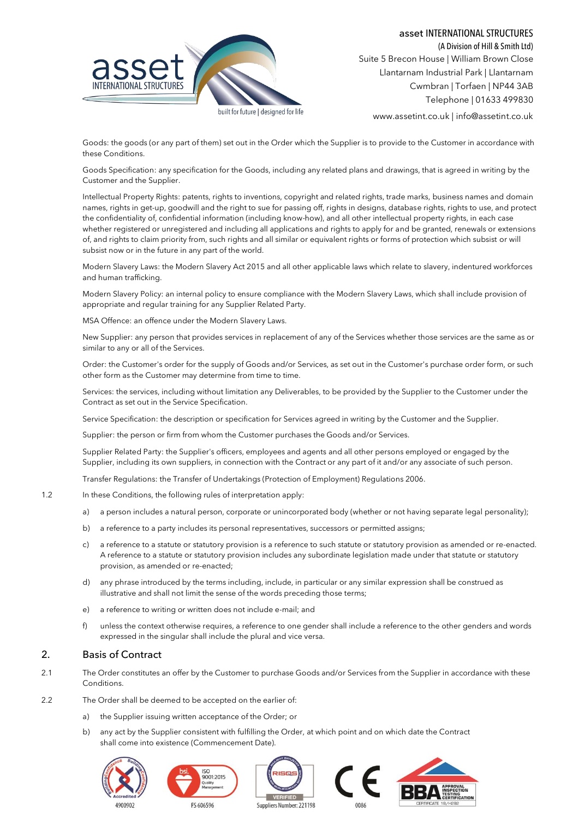

(A Division of Hill & Smith Ltd) Suite 5 Brecon House | William Brown Close Llantarnam Industrial Park | Llantarnam Cwmbran | Torfaen | NP44 3AB Telephone | 01633 499830

www.assetint.co.uk | info@assetint.co.uk

Goods: the goods (or any part of them) set out in the Order which the Supplier is to provide to the Customer in accordance with these Conditions.

Goods Specification: any specification for the Goods, including any related plans and drawings, that is agreed in writing by the Customer and the Supplier.

Intellectual Property Rights: patents, rights to inventions, copyright and related rights, trade marks, business names and domain names, rights in get-up, goodwill and the right to sue for passing off, rights in designs, database rights, rights to use, and protect the confidentiality of, confidential information (including know-how), and all other intellectual property rights, in each case whether registered or unregistered and including all applications and rights to apply for and be granted, renewals or extensions of, and rights to claim priority from, such rights and all similar or equivalent rights or forms of protection which subsist or will subsist now or in the future in any part of the world.

Modern Slavery Laws: the Modern Slavery Act 2015 and all other applicable laws which relate to slavery, indentured workforces and human trafficking.

Modern Slavery Policy: an internal policy to ensure compliance with the Modern Slavery Laws, which shall include provision of appropriate and regular training for any Supplier Related Party.

MSA Offence: an offence under the Modern Slavery Laws.

New Supplier: any person that provides services in replacement of any of the Services whether those services are the same as or similar to any or all of the Services.

Order: the Customer's order for the supply of Goods and/or Services, as set out in the Customer's purchase order form, or such other form as the Customer may determine from time to time.

Services: the services, including without limitation any Deliverables, to be provided by the Supplier to the Customer under the Contract as set out in the Service Specification.

Service Specification: the description or specification for Services agreed in writing by the Customer and the Supplier.

Supplier: the person or firm from whom the Customer purchases the Goods and/or Services.

Supplier Related Party: the Supplier's officers, employees and agents and all other persons employed or engaged by the Supplier, including its own suppliers, in connection with the Contract or any part of it and/or any associate of such person.

Transfer Regulations: the Transfer of Undertakings (Protection of Employment) Regulations 2006.

- 1.2 In these Conditions, the following rules of interpretation apply:
	- a) a person includes a natural person, corporate or unincorporated body (whether or not having separate legal personality);
	- b) a reference to a party includes its personal representatives, successors or permitted assigns;
	- c) a reference to a statute or statutory provision is a reference to such statute or statutory provision as amended or re-enacted. A reference to a statute or statutory provision includes any subordinate legislation made under that statute or statutory provision, as amended or re-enacted;
	- d) any phrase introduced by the terms including, include, in particular or any similar expression shall be construed as illustrative and shall not limit the sense of the words preceding those terms;
	- e) a reference to writing or written does not include e-mail; and
	- f) unless the context otherwise requires, a reference to one gender shall include a reference to the other genders and words expressed in the singular shall include the plural and vice versa.

## 2. Basis of Contract

- 2.1 The Order constitutes an offer by the Customer to purchase Goods and/or Services from the Supplier in accordance with these Conditions.
- <span id="page-2-1"></span><span id="page-2-0"></span>2.2 The Order shall be deemed to be accepted on the earlier of:
	- a) the Supplier issuing written acceptance of the Order; or
	- b) any act by the Supplier consistent with fulfilling the Order, at which point and on which date the Contract shall come into existence (Commencement Date).









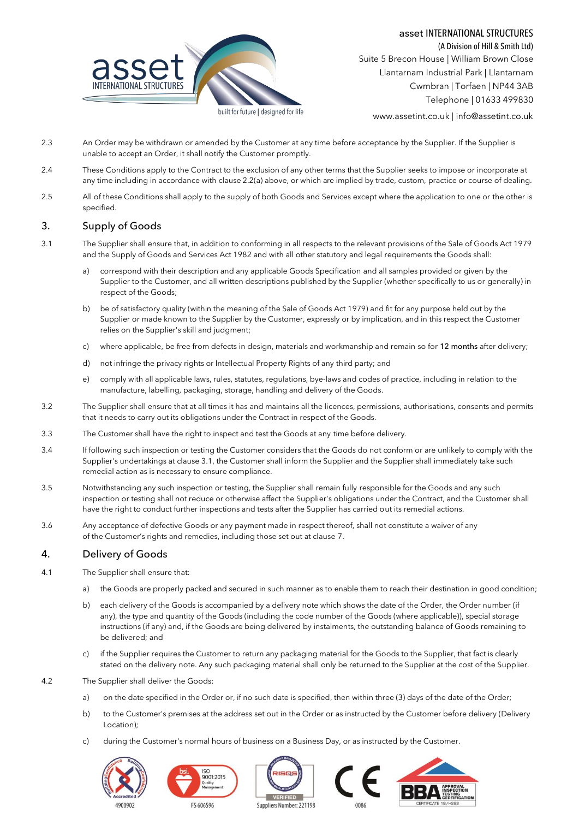

(A Division of Hill & Smith Ltd) Suite 5 Brecon House | William Brown Close Llantarnam Industrial Park | Llantarnam Cwmbran | Torfaen | NP44 3AB Telephone | 01633 499830

www.assetint.co.uk | info@assetint.co.uk

- 2.3 An Order may be withdrawn or amended by the Customer at any time before acceptance by the Supplier. If the Supplier is unable to accept an Order, it shall notify the Customer promptly.
- 2.4 These Conditions apply to the Contract to the exclusion of any other terms that the Supplier seeks to impose or incorporate at any time including in accordance with claus[e 2.2](#page-2-0)[\(a\)](#page-2-1) above, or which are implied by trade, custom, practice or course of dealing.
- 2.5 All of these Conditions shall apply to the supply of both Goods and Services except where the application to one or the other is specified.

# 3. Supply of Goods

- <span id="page-3-0"></span>3.1 The Supplier shall ensure that, in addition to conforming in all respects to the relevant provisions of the Sale of Goods Act 1979 and the Supply of Goods and Services Act 1982 and with all other statutory and legal requirements the Goods shall:
	- a) correspond with their description and any applicable Goods Specification and all samples provided or given by the Supplier to the Customer, and all written descriptions published by the Supplier (whether specifically to us or generally) in respect of the Goods;
	- b) be of satisfactory quality (within the meaning of the Sale of Goods Act 1979) and fit for any purpose held out by the Supplier or made known to the Supplier by the Customer, expressly or by implication, and in this respect the Customer relies on the Supplier's skill and judgment;
	- c) where applicable, be free from defects in design, materials and workmanship and remain so for 12 months after delivery;
	- d) not infringe the privacy rights or Intellectual Property Rights of any third party; and
	- e) comply with all applicable laws, rules, statutes, regulations, bye-laws and codes of practice, including in relation to the manufacture, labelling, packaging, storage, handling and delivery of the Goods.
- 3.2 The Supplier shall ensure that at all times it has and maintains all the licences, permissions, authorisations, consents and permits that it needs to carry out its obligations under the Contract in respect of the Goods.
- 3.3 The Customer shall have the right to inspect and test the Goods at any time before delivery.
- 3.4 If following such inspection or testing the Customer considers that the Goods do not conform or are unlikely to comply with the Supplier's undertakings at claus[e 3.1,](#page-3-0) the Customer shall inform the Supplier and the Supplier shall immediately take such remedial action as is necessary to ensure compliance.
- 3.5 Notwithstanding any such inspection or testing, the Supplier shall remain fully responsible for the Goods and any such inspection or testing shall not reduce or otherwise affect the Supplier's obligations under the Contract, and the Customer shall have the right to conduct further inspections and tests after the Supplier has carried out its remedial actions.
- 3.6 Any acceptance of defective Goods or any payment made in respect thereof, shall not constitute a waiver of any of the Customer's rights and remedies, including those set out at clause [7.](#page-6-0)

## 4. Delivery of Goods

- 4.1 The Supplier shall ensure that:
	- a) the Goods are properly packed and secured in such manner as to enable them to reach their destination in good condition;
	- b) each delivery of the Goods is accompanied by a delivery note which shows the date of the Order, the Order number (if any), the type and quantity of the Goods (including the code number of the Goods (where applicable)), special storage instructions (if any) and, if the Goods are being delivered by instalments, the outstanding balance of Goods remaining to be delivered; and
	- c) if the Supplier requires the Customer to return any packaging material for the Goods to the Supplier, that fact is clearly stated on the delivery note. Any such packaging material shall only be returned to the Supplier at the cost of the Supplier.
- 4.2 The Supplier shall deliver the Goods:
	- a) on the date specified in the Order or, if no such date is specified, then within three (3) days of the date of the Order;
	- b) to the Customer's premises at the address set out in the Order or as instructed by the Customer before delivery (Delivery Location);
	- c) during the Customer's normal hours of business on a Business Day, or as instructed by the Customer.









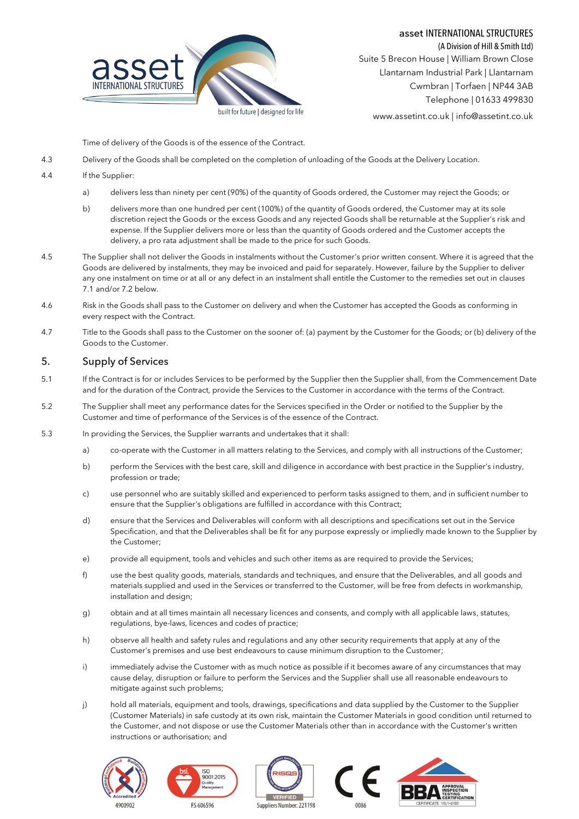



(A Division of Hill & Smith Ltd) Suite 5 Brecon House | William Brown Close Llantarnam Industrial Park | Llantarnam Cwmbran | Torfaen | NP44 3AB Telephone | 01633 499830

www.assetint.co.uk | info@assetint.co.uk

Time of delivery of the Goods is of the essence of the Contract.

- 4.3 Delivery of the Goods shall be completed on the completion of unloading of the Goods at the Delivery Location.
- 4.4 If the Supplier:
	- a) delivers less than ninety per cent (90%) of the quantity of Goods ordered, the Customer may reject the Goods; or
	- b) delivers more than one hundred per cent (100%) of the quantity of Goods ordered, the Customer may at its sole discretion reject the Goods or the excess Goods and any rejected Goods shall be returnable at the Supplier's risk and expense. If the Supplier delivers more or less than the quantity of Goods ordered and the Customer accepts the delivery, a pro rata adjustment shall be made to the price for such Goods.
- 4.5 The Supplier shall not deliver the Goods in instalments without the Customer's prior written consent. Where it is agreed that the Goods are delivered by instalments, they may be invoiced and paid for separately. However, failure by the Supplier to deliver any one instalment on time or at all or any defect in an instalment shall entitle the Customer to the remedies set out in clauses [7.1](#page-6-1) and/o[r 7.2](#page-6-2) below.
- 4.6 Risk in the Goods shall pass to the Customer on delivery and when the Customer has accepted the Goods as conforming in every respect with the Contract.
- 4.7 Title to the Goods shall pass to the Customer on the sooner of: (a) payment by the Customer for the Goods; or (b) delivery of the Goods to the Customer.

# 5. Supply of Services

- 5.1 If the Contract is for or includes Services to be performed by the Supplier then the Supplier shall, from the Commencement Date and for the duration of the Contract, provide the Services to the Customer in accordance with the terms of the Contract.
- 5.2 The Supplier shall meet any performance dates for the Services specified in the Order or notified to the Supplier by the Customer and time of performance of the Services is of the essence of the Contract.
- <span id="page-4-0"></span>5.3 In providing the Services, the Supplier warrants and undertakes that it shall:
	- a) co-operate with the Customer in all matters relating to the Services, and comply with all instructions of the Customer;
	- b) perform the Services with the best care, skill and diligence in accordance with best practice in the Supplier's industry, profession or trade;
	- c) use personnel who are suitably skilled and experienced to perform tasks assigned to them, and in sufficient number to ensure that the Supplier's obligations are fulfilled in accordance with this Contract;
	- d) ensure that the Services and Deliverables will conform with all descriptions and specifications set out in the Service Specification, and that the Deliverables shall be fit for any purpose expressly or impliedly made known to the Supplier by the Customer;
	- e) provide all equipment, tools and vehicles and such other items as are required to provide the Services;
	- f) use the best quality goods, materials, standards and techniques, and ensure that the Deliverables, and all goods and materials supplied and used in the Services or transferred to the Customer, will be free from defects in workmanship, installation and design;
	- g) obtain and at all times maintain all necessary licences and consents, and comply with all applicable laws, statutes, regulations, bye-laws, licences and codes of practice;
	- h) observe all health and safety rules and regulations and any other security requirements that apply at any of the Customer's premises and use best endeavours to cause minimum disruption to the Customer;
	- i) immediately advise the Customer with as much notice as possible if it becomes aware of any circumstances that may cause delay, disruption or failure to perform the Services and the Supplier shall use all reasonable endeavours to mitigate against such problems;
	- j) hold all materials, equipment and tools, drawings, specifications and data supplied by the Customer to the Supplier (Customer Materials) in safe custody at its own risk, maintain the Customer Materials in good condition until returned to the Customer, and not dispose or use the Customer Materials other than in accordance with the Customer's written instructions or authorisation; and









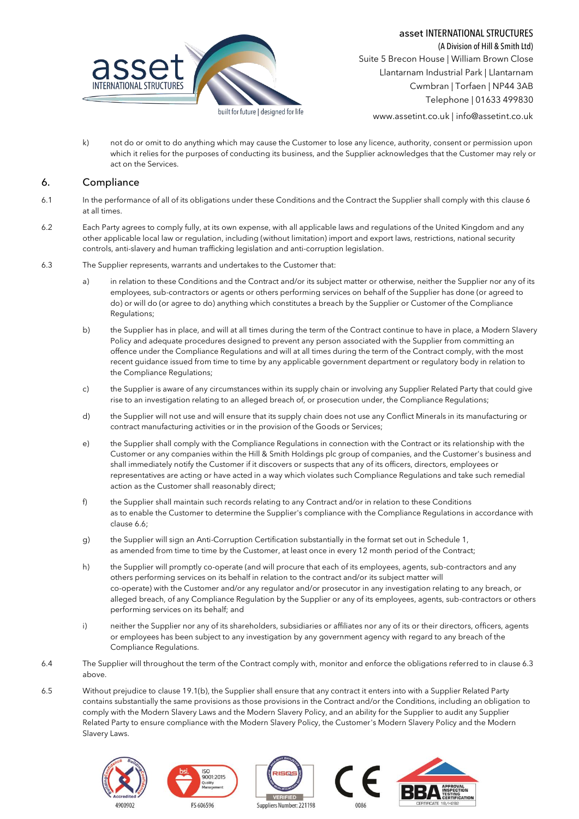

(A Division of Hill & Smith Ltd) Suite 5 Brecon House | William Brown Close Llantarnam Industrial Park | Llantarnam Cwmbran | Torfaen | NP44 3AB Telephone | 01633 499830

www.assetint.co.uk | info@assetint.co.uk

k) not do or omit to do anything which may cause the Customer to lose any licence, authority, consent or permission upon which it relies for the purposes of conducting its business, and the Supplier acknowledges that the Customer may rely or act on the Services.

### <span id="page-5-0"></span>6. Compliance

- 6.1 In the performance of all of its obligations under these Conditions and the Contract the Supplier shall comply with this claus[e 6](#page-5-0) at all times.
- 6.2 Each Party agrees to comply fully, at its own expense, with all applicable laws and regulations of the United Kingdom and any other applicable local law or regulation, including (without limitation) import and export laws, restrictions, national security controls, anti-slavery and human trafficking legislation and anti-corruption legislation.
- <span id="page-5-1"></span>6.3 The Supplier represents, warrants and undertakes to the Customer that:
	- a) in relation to these Conditions and the Contract and/or its subject matter or otherwise, neither the Supplier nor any of its employees, sub-contractors or agents or others performing services on behalf of the Supplier has done (or agreed to do) or will do (or agree to do) anything which constitutes a breach by the Supplier or Customer of the Compliance Regulations;
	- b) the Supplier has in place, and will at all times during the term of the Contract continue to have in place, a Modern Slavery Policy and adequate procedures designed to prevent any person associated with the Supplier from committing an offence under the Compliance Regulations and will at all times during the term of the Contract comply, with the most recent guidance issued from time to time by any applicable government department or regulatory body in relation to the Compliance Regulations;
	- c) the Supplier is aware of any circumstances within its supply chain or involving any Supplier Related Party that could give rise to an investigation relating to an alleged breach of, or prosecution under, the Compliance Regulations;
	- d) the Supplier will not use and will ensure that its supply chain does not use any Conflict Minerals in its manufacturing or contract manufacturing activities or in the provision of the Goods or Services;
	- e) the Supplier shall comply with the Compliance Regulations in connection with the Contract or its relationship with the Customer or any companies within the Hill & Smith Holdings plc group of companies, and the Customer's business and shall immediately notify the Customer if it discovers or suspects that any of its officers, directors, employees or representatives are acting or have acted in a way which violates such Compliance Regulations and take such remedial action as the Customer shall reasonably direct;
	- f) the Supplier shall maintain such records relating to any Contract and/or in relation to these Conditions as to enable the Customer to determine the Supplier's compliance with the Compliance Regulations in accordance with claus[e 6.6;](#page-6-3)
	- g) the Supplier will sign an Anti-Corruption Certification substantially in the format set out i[n Schedule](#page-14-0) 1, as amended from time to time by the Customer, at least once in every 12 month period of the Contract;
	- h) the Supplier will promptly co-operate (and will procure that each of its employees, agents, sub-contractors and any others performing services on its behalf in relation to the contract and/or its subject matter will co-operate) with the Customer and/or any regulator and/or prosecutor in any investigation relating to any breach, or alleged breach, of any Compliance Regulation by the Supplier or any of its employees, agents, sub-contractors or others performing services on its behalf; and
	- i) neither the Supplier nor any of its shareholders, subsidiaries or affiliates nor any of its or their directors, officers, agents or employees has been subject to any investigation by any government agency with regard to any breach of the Compliance Regulations.
- 6.4 The Supplier will throughout the term of the Contract comply with, monitor and enforce the obligations referred to in claus[e 6.3](#page-5-1) above.
- 6.5 Without prejudice to claus[e 19.1\(](#page-12-0)b), the Supplier shall ensure that any contract it enters into with a Supplier Related Party contains substantially the same provisions as those provisions in the Contract and/or the Conditions, including an obligation to comply with the Modern Slavery Laws and the Modern Slavery Policy, and an ability for the Supplier to audit any Supplier Related Party to ensure compliance with the Modern Slavery Policy, the Customer's Modern Slavery Policy and the Modern Slavery Laws.









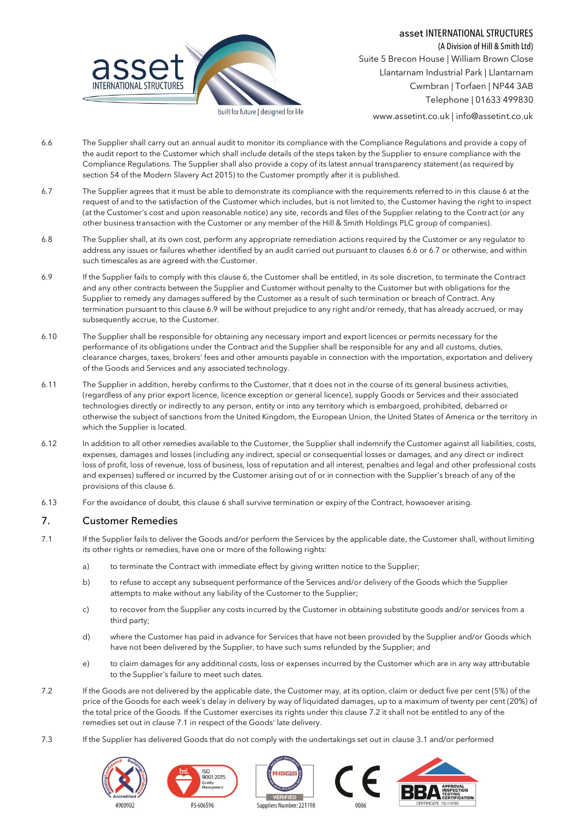

(A Division of Hill & Smith Ltd) Suite 5 Brecon House | William Brown Close Llantarnam Industrial Park | Llantarnam Cwmbran | Torfaen | NP44 3AB Telephone | 01633 499830

www.assetint.co.uk | info@assetint.co.uk

- <span id="page-6-3"></span>6.6 The Supplier shall carry out an annual audit to monitor its compliance with the Compliance Regulations and provide a copy of the audit report to the Customer which shall include details of the steps taken by the Supplier to ensure compliance with the Compliance Regulations. The Supplier shall also provide a copy of its latest annual transparency statement (as required by section 54 of the Modern Slavery Act 2015) to the Customer promptly after it is published.
- <span id="page-6-4"></span>6.7 The Supplier agrees that it must be able to demonstrate its compliance with the requirements referred to in this claus[e 6](#page-5-0) at the request of and to the satisfaction of the Customer which includes, but is not limited to, the Customer having the right to inspect (at the Customer's cost and upon reasonable notice) any site, records and files of the Supplier relating to the Contract (or any other business transaction with the Customer or any member of the Hill & Smith Holdings PLC group of companies).
- 6.8 The Supplier shall, at its own cost, perform any appropriate remediation actions required by the Customer or any regulator to address any issues or failures whether identified by an audit carried out pursuant to clauses [6.6](#page-6-3) o[r 6.7](#page-6-4) or otherwise, and within such timescales as are agreed with the Customer.
- <span id="page-6-5"></span>6.9 If the Supplier fails to comply with this clause 6, the Customer shall be entitled, in its sole discretion, to terminate the Contract and any other contracts between the Supplier and Customer without penalty to the Customer but with obligations for the Supplier to remedy any damages suffered by the Customer as a result of such termination or breach of Contract. Any termination pursuant to this claus[e 6.9](#page-6-5) will be without prejudice to any right and/or remedy, that has already accrued, or may subsequently accrue, to the Customer.
- 6.10 The Supplier shall be responsible for obtaining any necessary import and export licences or permits necessary for the performance of its obligations under the Contract and the Supplier shall be responsible for any and all customs, duties, clearance charges, taxes, brokers' fees and other amounts payable in connection with the importation, exportation and delivery of the Goods and Services and any associated technology.
- 6.11 The Supplier in addition, hereby confirms to the Customer, that it does not in the course of its general business activities, (regardless of any prior export licence, licence exception or general licence), supply Goods or Services and their associated technologies directly or indirectly to any person, entity or into any territory which is embargoed, prohibited, debarred or otherwise the subject of sanctions from the United Kingdom, the European Union, the United States of America or the territory in which the Supplier is located.
- 6.12 In addition to all other remedies available to the Customer, the Supplier shall indemnify the Customer against all liabilities, costs, expenses, damages and losses (including any indirect, special or consequential losses or damages, and any direct or indirect loss of profit, loss of revenue, loss of business, loss of reputation and all interest, penalties and legal and other professional costs and expenses) suffered or incurred by the Customer arising out of or in connection with the Supplier's breach of any of the provisions of this claus[e 6.](#page-5-0)
- 6.13 For the avoidance of doubt, this clause 6 shall survive termination or expiry of the Contract, howsoever arising.

## <span id="page-6-0"></span>7. Customer Remedies

- <span id="page-6-1"></span>7.1 If the Supplier fails to deliver the Goods and/or perform the Services by the applicable date, the Customer shall, without limiting its other rights or remedies, have one or more of the following rights:
	- a) to terminate the Contract with immediate effect by giving written notice to the Supplier;
	- b) to refuse to accept any subsequent performance of the Services and/or delivery of the Goods which the Supplier attempts to make without any liability of the Customer to the Supplier;
	- c) to recover from the Supplier any costs incurred by the Customer in obtaining substitute goods and/or services from a third party;
	- d) where the Customer has paid in advance for Services that have not been provided by the Supplier and/or Goods which have not been delivered by the Supplier, to have such sums refunded by the Supplier; and
	- e) to claim damages for any additional costs, loss or expenses incurred by the Customer which are in any way attributable to the Supplier's failure to meet such dates.
- <span id="page-6-2"></span>7.2 If the Goods are not delivered by the applicable date, the Customer may, at its option, claim or deduct five per cent (5%) of the price of the Goods for each week's delay in delivery by way of liquidated damages, up to a maximum of twenty per cent (20%) of the total price of the Goods. If the Customer exercises its rights under this claus[e 7.2](#page-6-2) it shall not be entitled to any of the remedies set out in clause [7.1](#page-6-1) in respect of the Goods' late delivery.
- 7.3 If the Supplier has delivered Goods that do not comply with the undertakings set out in claus[e 3.1](#page-3-0) and/or performed









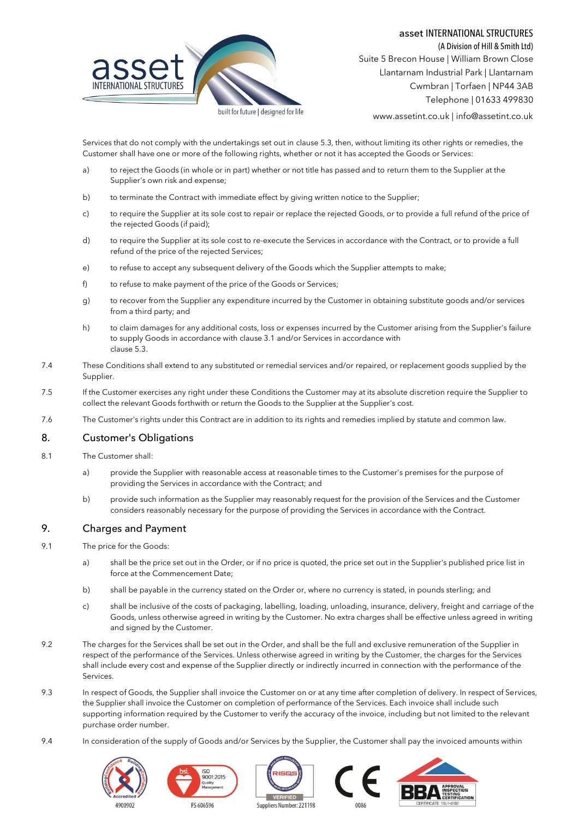### asset INTERNATIONAL STRUCTURES

(A Division of Hill & Smith Ltd)



Suite 5 Brecon House | William Brown Close Llantarnam Industrial Park | Llantarnam Cwmbran | Torfaen | NP44 3AB Telephone | 01633 499830

www.assetint.co.uk | info@assetint.co.uk

Services that do not comply with the undertakings set out in claus[e 5.3,](#page-4-0) then, without limiting its other rights or remedies, the Customer shall have one or more of the following rights, whether or not it has accepted the Goods or Services:

- a) to reject the Goods (in whole or in part) whether or not title has passed and to return them to the Supplier at the Supplier's own risk and expense;
- b) to terminate the Contract with immediate effect by giving written notice to the Supplier;
- c) to require the Supplier at its sole cost to repair or replace the rejected Goods, or to provide a full refund of the price of the rejected Goods (if paid);
- d) to require the Supplier at its sole cost to re-execute the Services in accordance with the Contract, or to provide a full refund of the price of the rejected Services;
- e) to refuse to accept any subsequent delivery of the Goods which the Supplier attempts to make;
- f) to refuse to make payment of the price of the Goods or Services;
- g) to recover from the Supplier any expenditure incurred by the Customer in obtaining substitute goods and/or services from a third party; and
- h) to claim damages for any additional costs, loss or expenses incurred by the Customer arising from the Supplier's failure to supply Goods in accordance with claus[e 3.1](#page-3-0) and/or Services in accordance with claus[e 5.3.](#page-4-0)
- 7.4 These Conditions shall extend to any substituted or remedial services and/or repaired, or replacement goods supplied by the Supplier.
- 7.5 If the Customer exercises any right under these Conditions the Customer may at its absolute discretion require the Supplier to collect the relevant Goods forthwith or return the Goods to the Supplier at the Supplier's cost.
- 7.6 The Customer's rights under this Contract are in addition to its rights and remedies implied by statute and common law.

# 8. Customer's Obligations

- 8.1 The Customer shall:
	- a) provide the Supplier with reasonable access at reasonable times to the Customer's premises for the purpose of providing the Services in accordance with the Contract; and
	- b) provide such information as the Supplier may reasonably request for the provision of the Services and the Customer considers reasonably necessary for the purpose of providing the Services in accordance with the Contract.

# 9. Charges and Payment

- 9.1 The price for the Goods:
	- a) shall be the price set out in the Order, or if no price is quoted, the price set out in the Supplier's published price list in force at the Commencement Date;
	- b) shall be payable in the currency stated on the Order or, where no currency is stated, in pounds sterling; and
	- c) shall be inclusive of the costs of packaging, labelling, loading, unloading, insurance, delivery, freight and carriage of the Goods, unless otherwise agreed in writing by the Customer. No extra charges shall be effective unless agreed in writing and signed by the Customer.
- 9.2 The charges for the Services shall be set out in the Order, and shall be the full and exclusive remuneration of the Supplier in respect of the performance of the Services. Unless otherwise agreed in writing by the Customer, the charges for the Services shall include every cost and expense of the Supplier directly or indirectly incurred in connection with the performance of the Services.
- 9.3 In respect of Goods, the Supplier shall invoice the Customer on or at any time after completion of delivery. In respect of Services, the Supplier shall invoice the Customer on completion of performance of the Services. Each invoice shall include such supporting information required by the Customer to verify the accuracy of the invoice, including but not limited to the relevant purchase order number.
- 9.4 In consideration of the supply of Goods and/or Services by the Supplier, the Customer shall pay the invoiced amounts within









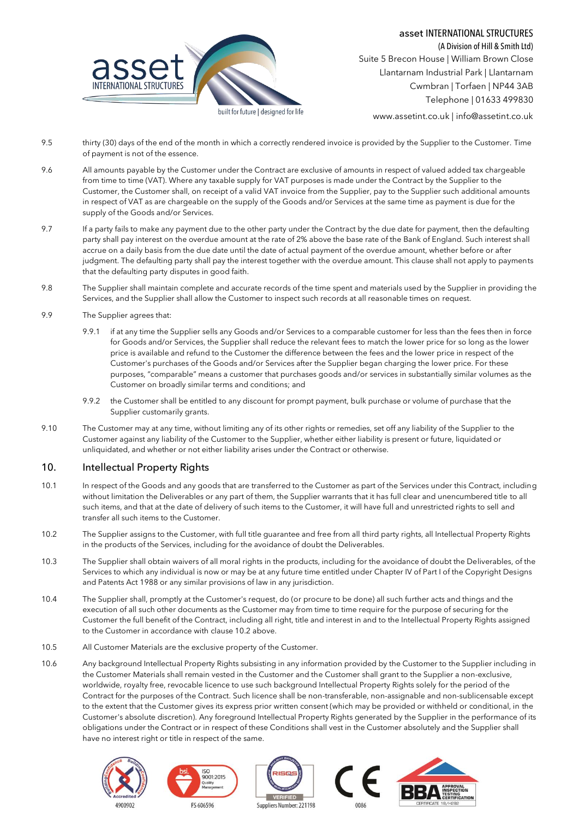

(A Division of Hill & Smith Ltd) Suite 5 Brecon House | William Brown Close Llantarnam Industrial Park | Llantarnam Cwmbran | Torfaen | NP44 3AB Telephone | 01633 499830

www.assetint.co.uk | info@assetint.co.uk

- 9.5 thirty (30) days of the end of the month in which a correctly rendered invoice is provided by the Supplier to the Customer. Time of payment is not of the essence.
- 9.6 All amounts payable by the Customer under the Contract are exclusive of amounts in respect of valued added tax chargeable from time to time (VAT). Where any taxable supply for VAT purposes is made under the Contract by the Supplier to the Customer, the Customer shall, on receipt of a valid VAT invoice from the Supplier, pay to the Supplier such additional amounts in respect of VAT as are chargeable on the supply of the Goods and/or Services at the same time as payment is due for the supply of the Goods and/or Services.
- 9.7 If a party fails to make any payment due to the other party under the Contract by the due date for payment, then the defaulting party shall pay interest on the overdue amount at the rate of 2% above the base rate of the Bank of England. Such interest shall accrue on a daily basis from the due date until the date of actual payment of the overdue amount, whether before or after judgment. The defaulting party shall pay the interest together with the overdue amount. This clause shall not apply to payments that the defaulting party disputes in good faith.
- 9.8 The Supplier shall maintain complete and accurate records of the time spent and materials used by the Supplier in providing the Services, and the Supplier shall allow the Customer to inspect such records at all reasonable times on request.
- 9.9 The Supplier agrees that:
	- 9.9.1 if at any time the Supplier sells any Goods and/or Services to a comparable customer for less than the fees then in force for Goods and/or Services, the Supplier shall reduce the relevant fees to match the lower price for so long as the lower price is available and refund to the Customer the difference between the fees and the lower price in respect of the Customer's purchases of the Goods and/or Services after the Supplier began charging the lower price. For these purposes, "comparable" means a customer that purchases goods and/or services in substantially similar volumes as the Customer on broadly similar terms and conditions; and
	- 9.9.2 the Customer shall be entitled to any discount for prompt payment, bulk purchase or volume of purchase that the Supplier customarily grants.
- 9.10 The Customer may at any time, without limiting any of its other rights or remedies, set off any liability of the Supplier to the Customer against any liability of the Customer to the Supplier, whether either liability is present or future, liquidated or unliquidated, and whether or not either liability arises under the Contract or otherwise.

# 10. Intellectual Property Rights

- 10.1 In respect of the Goods and any goods that are transferred to the Customer as part of the Services under this Contract, including without limitation the Deliverables or any part of them, the Supplier warrants that it has full clear and unencumbered title to all such items, and that at the date of delivery of such items to the Customer, it will have full and unrestricted rights to sell and transfer all such items to the Customer.
- <span id="page-8-0"></span>10.2 The Supplier assigns to the Customer, with full title guarantee and free from all third party rights, all Intellectual Property Rights in the products of the Services, including for the avoidance of doubt the Deliverables.
- 10.3 The Supplier shall obtain waivers of all moral rights in the products, including for the avoidance of doubt the Deliverables, of the Services to which any individual is now or may be at any future time entitled under Chapter IV of Part I of the Copyright Designs and Patents Act 1988 or any similar provisions of law in any jurisdiction.
- 10.4 The Supplier shall, promptly at the Customer's request, do (or procure to be done) all such further acts and things and the execution of all such other documents as the Customer may from time to time require for the purpose of securing for the Customer the full benefit of the Contract, including all right, title and interest in and to the Intellectual Property Rights assigned to the Customer in accordance with claus[e 10.2](#page-8-0) above.
- 10.5 All Customer Materials are the exclusive property of the Customer.
- 10.6 Any background Intellectual Property Rights subsisting in any information provided by the Customer to the Supplier including in the Customer Materials shall remain vested in the Customer and the Customer shall grant to the Supplier a non-exclusive, worldwide, royalty free, revocable licence to use such background Intellectual Property Rights solely for the period of the Contract for the purposes of the Contract. Such licence shall be non-transferable, non-assignable and non-sublicensable except to the extent that the Customer gives its express prior written consent (which may be provided or withheld or conditional, in the Customer's absolute discretion). Any foreground Intellectual Property Rights generated by the Supplier in the performance of its obligations under the Contract or in respect of these Conditions shall vest in the Customer absolutely and the Supplier shall have no interest right or title in respect of the same.

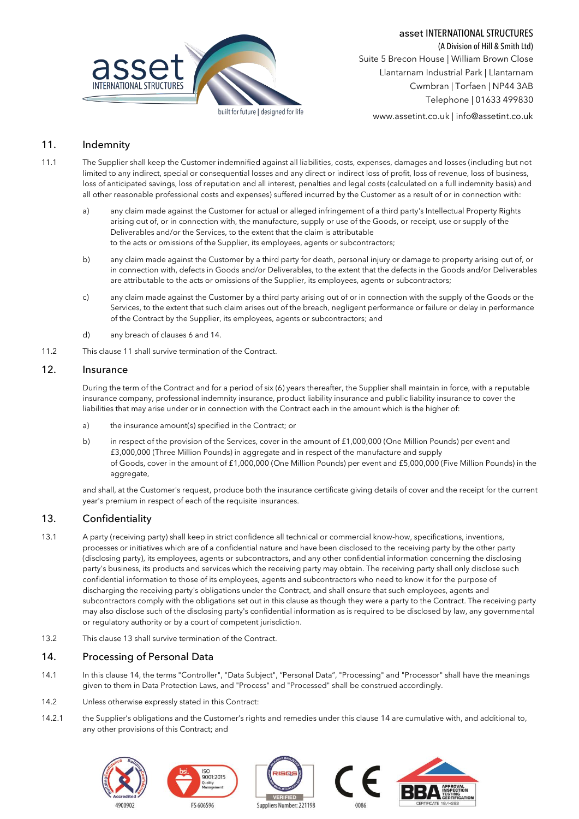



(A Division of Hill & Smith Ltd) Suite 5 Brecon House | William Brown Close Llantarnam Industrial Park | Llantarnam Cwmbran | Torfaen | NP44 3AB Telephone | 01633 499830

www.assetint.co.uk | info@assetint.co.uk

## <span id="page-9-1"></span>11. Indemnity

- 11.1 The Supplier shall keep the Customer indemnified against all liabilities, costs, expenses, damages and losses (including but not limited to any indirect, special or consequential losses and any direct or indirect loss of profit, loss of revenue, loss of business, loss of anticipated savings, loss of reputation and all interest, penalties and legal costs (calculated on a full indemnity basis) and all other reasonable professional costs and expenses) suffered incurred by the Customer as a result of or in connection with:
	- a) any claim made against the Customer for actual or alleged infringement of a third party's Intellectual Property Rights arising out of, or in connection with, the manufacture, supply or use of the Goods, or receipt, use or supply of the Deliverables and/or the Services, to the extent that the claim is attributable to the acts or omissions of the Supplier, its employees, agents or subcontractors;
	- b) any claim made against the Customer by a third party for death, personal injury or damage to property arising out of, or in connection with, defects in Goods and/or Deliverables, to the extent that the defects in the Goods and/or Deliverables are attributable to the acts or omissions of the Supplier, its employees, agents or subcontractors;
	- c) any claim made against the Customer by a third party arising out of or in connection with the supply of the Goods or the Services, to the extent that such claim arises out of the breach, negligent performance or failure or delay in performance of the Contract by the Supplier, its employees, agents or subcontractors; and
	- d) any breach of clause[s 6](#page-5-0) an[d 14.](#page-9-0)
- 11.2 This clause [11](#page-9-1) shall survive termination of the Contract.

## 12. Insurance

During the term of the Contract and for a period of six (6) years thereafter, the Supplier shall maintain in force, with a reputable insurance company, professional indemnity insurance, product liability insurance and public liability insurance to cover the liabilities that may arise under or in connection with the Contract each in the amount which is the higher of:

- a) the insurance amount(s) specified in the Contract; or
- b) in respect of the provision of the Services, cover in the amount of £1,000,000 (One Million Pounds) per event and £3,000,000 (Three Million Pounds) in aggregate and in respect of the manufacture and supply of Goods, cover in the amount of £1,000,000 (One Million Pounds) per event and £5,000,000 (Five Million Pounds) in the aggregate,

and shall, at the Customer's request, produce both the insurance certificate giving details of cover and the receipt for the current year's premium in respect of each of the requisite insurances.

## <span id="page-9-2"></span>13. Confidentiality

- 13.1 A party (receiving party) shall keep in strict confidence all technical or commercial know-how, specifications, inventions, processes or initiatives which are of a confidential nature and have been disclosed to the receiving party by the other party (disclosing party), its employees, agents or subcontractors, and any other confidential information concerning the disclosing party's business, its products and services which the receiving party may obtain. The receiving party shall only disclose such confidential information to those of its employees, agents and subcontractors who need to know it for the purpose of discharging the receiving party's obligations under the Contract, and shall ensure that such employees, agents and subcontractors comply with the obligations set out in this clause as though they were a party to the Contract. The receiving party may also disclose such of the disclosing party's confidential information as is required to be disclosed by law, any governmental or regulatory authority or by a court of competent jurisdiction.
- 13.2 This clause [13](#page-9-2) shall survive termination of the Contract.

## <span id="page-9-0"></span>14. Processing of Personal Data

- 14.1 In this claus[e 14](#page-9-0), the terms "Controller", "Data Subject", "Personal Data", "Processing" and "Processor" shall have the meanings given to them in Data Protection Laws, and "Process" and "Processed" shall be construed accordingly.
- 14.2 Unless otherwise expressly stated in this Contract:
- 14.2.1 the Supplier's obligations and the Customer's rights and remedies under this clause [14](#page-9-0) are cumulative with, and additional to, any other provisions of this Contract; and

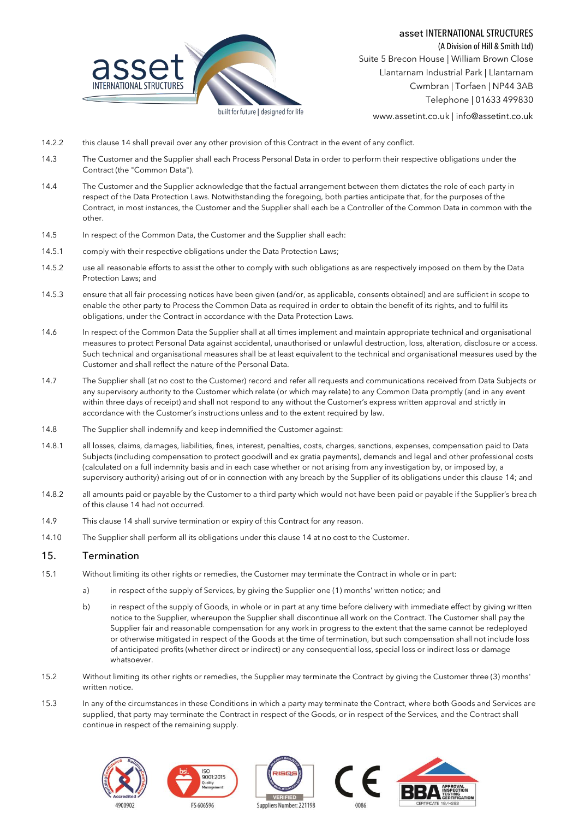

(A Division of Hill & Smith Ltd) Suite 5 Brecon House | William Brown Close Llantarnam Industrial Park | Llantarnam Cwmbran | Torfaen | NP44 3AB Telephone | 01633 499830

www.assetint.co.uk | info@assetint.co.uk

- 14.2.2 this clause [14](#page-9-0) shall prevail over any other provision of this Contract in the event of any conflict.
- 14.3 The Customer and the Supplier shall each Process Personal Data in order to perform their respective obligations under the Contract (the "Common Data").
- 14.4 The Customer and the Supplier acknowledge that the factual arrangement between them dictates the role of each party in respect of the Data Protection Laws. Notwithstanding the foregoing, both parties anticipate that, for the purposes of the Contract, in most instances, the Customer and the Supplier shall each be a Controller of the Common Data in common with the other.
- 14.5 In respect of the Common Data, the Customer and the Supplier shall each:
- 14.5.1 comply with their respective obligations under the Data Protection Laws;
- 14.5.2 use all reasonable efforts to assist the other to comply with such obligations as are respectively imposed on them by the Data Protection Laws; and
- 14.5.3 ensure that all fair processing notices have been given (and/or, as applicable, consents obtained) and are sufficient in scope to enable the other party to Process the Common Data as required in order to obtain the benefit of its rights, and to fulfil its obligations, under the Contract in accordance with the Data Protection Laws.
- 14.6 In respect of the Common Data the Supplier shall at all times implement and maintain appropriate technical and organisational measures to protect Personal Data against accidental, unauthorised or unlawful destruction, loss, alteration, disclosure or access. Such technical and organisational measures shall be at least equivalent to the technical and organisational measures used by the Customer and shall reflect the nature of the Personal Data.
- 14.7 The Supplier shall (at no cost to the Customer) record and refer all requests and communications received from Data Subjects or any supervisory authority to the Customer which relate (or which may relate) to any Common Data promptly (and in any event within three days of receipt) and shall not respond to any without the Customer's express written approval and strictly in accordance with the Customer's instructions unless and to the extent required by law.
- 14.8 The Supplier shall indemnify and keep indemnified the Customer against:
- 14.8.1 all losses, claims, damages, liabilities, fines, interest, penalties, costs, charges, sanctions, expenses, compensation paid to Data Subjects (including compensation to protect goodwill and ex gratia payments), demands and legal and other professional costs (calculated on a full indemnity basis and in each case whether or not arising from any investigation by, or imposed by, a supervisory authority) arising out of or in connection with any breach by the Supplier of its obligations under this claus[e 14;](#page-9-0) and
- 14.8.2 all amounts paid or payable by the Customer to a third party which would not have been paid or payable if the Supplier's breach of this claus[e 14](#page-9-0) had not occurred.
- 14.9 This clause [14](#page-9-0) shall survive termination or expiry of this Contract for any reason.
- 14.10 The Supplier shall perform all its obligations under this clause [14](#page-9-0) at no cost to the Customer.

### 15. Termination

- 15.1 Without limiting its other rights or remedies, the Customer may terminate the Contract in whole or in part:
	- a) in respect of the supply of Services, by giving the Supplier one (1) months' written notice; and
	- b) in respect of the supply of Goods, in whole or in part at any time before delivery with immediate effect by giving written notice to the Supplier, whereupon the Supplier shall discontinue all work on the Contract. The Customer shall pay the Supplier fair and reasonable compensation for any work in progress to the extent that the same cannot be redeployed or otherwise mitigated in respect of the Goods at the time of termination, but such compensation shall not include loss of anticipated profits (whether direct or indirect) or any consequential loss, special loss or indirect loss or damage whatsoever.
- 15.2 Without limiting its other rights or remedies, the Supplier may terminate the Contract by giving the Customer three (3) months' written notice.
- 15.3 In any of the circumstances in these Conditions in which a party may terminate the Contract, where both Goods and Services are supplied, that party may terminate the Contract in respect of the Goods, or in respect of the Services, and the Contract shall continue in respect of the remaining supply.

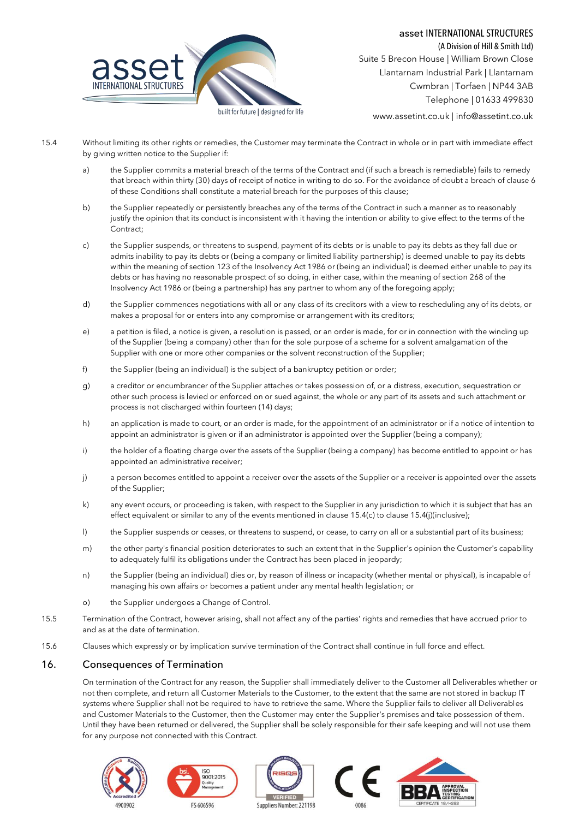

(A Division of Hill & Smith Ltd) Suite 5 Brecon House | William Brown Close Llantarnam Industrial Park | Llantarnam Cwmbran | Torfaen | NP44 3AB Telephone | 01633 499830

www.assetint.co.uk | info@assetint.co.uk

- <span id="page-11-1"></span><span id="page-11-0"></span>15.4 Without limiting its other rights or remedies, the Customer may terminate the Contract in whole or in part with immediate effect by giving written notice to the Supplier if:
	- a) the Supplier commits a material breach of the terms of the Contract and (if such a breach is remediable) fails to remedy that breach within thirty (30) days of receipt of notice in writing to do so. For the avoidance of doubt a breach of claus[e 6](#page-5-0) of these Conditions shall constitute a material breach for the purposes of this clause;
	- b) the Supplier repeatedly or persistently breaches any of the terms of the Contract in such a manner as to reasonably justify the opinion that its conduct is inconsistent with it having the intention or ability to give effect to the terms of the Contract;
	- c) the Supplier suspends, or threatens to suspend, payment of its debts or is unable to pay its debts as they fall due or admits inability to pay its debts or (being a company or limited liability partnership) is deemed unable to pay its debts within the meaning of section 123 of the Insolvency Act 1986 or (being an individual) is deemed either unable to pay its debts or has having no reasonable prospect of so doing, in either case, within the meaning of section 268 of the Insolvency Act 1986 or (being a partnership) has any partner to whom any of the foregoing apply;
	- d) the Supplier commences negotiations with all or any class of its creditors with a view to rescheduling any of its debts, or makes a proposal for or enters into any compromise or arrangement with its creditors;
	- e) a petition is filed, a notice is given, a resolution is passed, or an order is made, for or in connection with the winding up of the Supplier (being a company) other than for the sole purpose of a scheme for a solvent amalgamation of the Supplier with one or more other companies or the solvent reconstruction of the Supplier;
	- f) the Supplier (being an individual) is the subject of a bankruptcy petition or order;
	- g) a creditor or encumbrancer of the Supplier attaches or takes possession of, or a distress, execution, sequestration or other such process is levied or enforced on or sued against, the whole or any part of its assets and such attachment or process is not discharged within fourteen (14) days;
	- h) an application is made to court, or an order is made, for the appointment of an administrator or if a notice of intention to appoint an administrator is given or if an administrator is appointed over the Supplier (being a company);
	- i) the holder of a floating charge over the assets of the Supplier (being a company) has become entitled to appoint or has appointed an administrative receiver;
	- j) a person becomes entitled to appoint a receiver over the assets of the Supplier or a receiver is appointed over the assets of the Supplier;
	- k) any event occurs, or proceeding is taken, with respect to the Supplier in any jurisdiction to which it is subject that has an effect equivalent or similar to any of the events mentioned in claus[e 15.4](#page-11-0)[\(c\)](#page-11-1) to clause 15.4[\(j\)\(](#page-11-2)inclusive);
	- l) the Supplier suspends or ceases, or threatens to suspend, or cease, to carry on all or a substantial part of its business;
	- m) the other party's financial position deteriorates to such an extent that in the Supplier's opinion the Customer's capability to adequately fulfil its obligations under the Contract has been placed in jeopardy;
	- n) the Supplier (being an individual) dies or, by reason of illness or incapacity (whether mental or physical), is incapable of managing his own affairs or becomes a patient under any mental health legislation; or
	- o) the Supplier undergoes a Change of Control.
- <span id="page-11-2"></span>15.5 Termination of the Contract, however arising, shall not affect any of the parties' rights and remedies that have accrued prior to and as at the date of termination.
- 15.6 Clauses which expressly or by implication survive termination of the Contract shall continue in full force and effect.

# 16. Consequences of Termination

On termination of the Contract for any reason, the Supplier shall immediately deliver to the Customer all Deliverables whether or not then complete, and return all Customer Materials to the Customer, to the extent that the same are not stored in backup IT systems where Supplier shall not be required to have to retrieve the same. Where the Supplier fails to deliver all Deliverables and Customer Materials to the Customer, then the Customer may enter the Supplier's premises and take possession of them. Until they have been returned or delivered, the Supplier shall be solely responsible for their safe keeping and will not use them for any purpose not connected with this Contract.

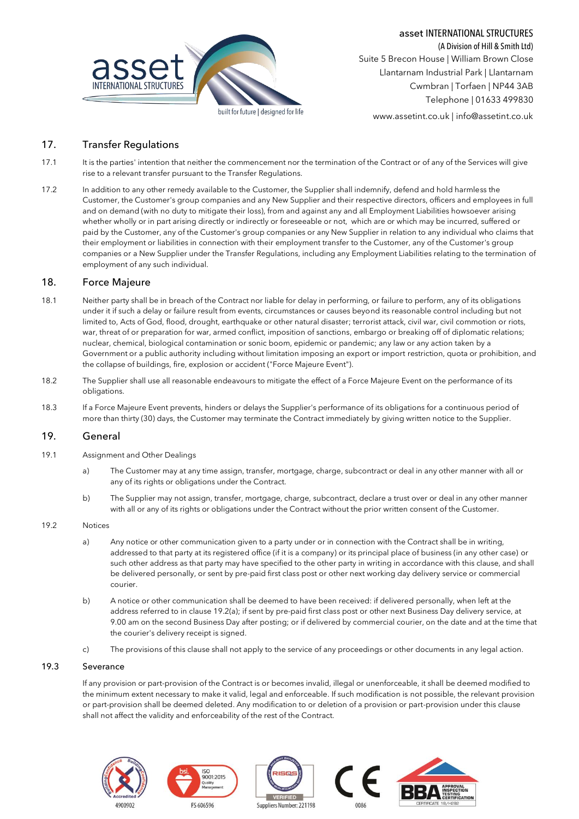

asset INTERNATIONAL STRUCTURES

(A Division of Hill & Smith Ltd) Suite 5 Brecon House | William Brown Close Llantarnam Industrial Park | Llantarnam Cwmbran | Torfaen | NP44 3AB Telephone | 01633 499830

www.assetint.co.uk | info@assetint.co.uk

# 17. Transfer Regulations

- 17.1 It is the parties' intention that neither the commencement nor the termination of the Contract or of any of the Services will give rise to a relevant transfer pursuant to the Transfer Regulations.
- 17.2 In addition to any other remedy available to the Customer, the Supplier shall indemnify, defend and hold harmless the Customer, the Customer's group companies and any New Supplier and their respective directors, officers and employees in full and on demand (with no duty to mitigate their loss), from and against any and all Employment Liabilities howsoever arising whether wholly or in part arising directly or indirectly or foreseeable or not, which are or which may be incurred, suffered or paid by the Customer, any of the Customer's group companies or any New Supplier in relation to any individual who claims that their employment or liabilities in connection with their employment transfer to the Customer, any of the Customer's group companies or a New Supplier under the Transfer Regulations, including any Employment Liabilities relating to the termination of employment of any such individual.

### 18. Force Majeure

- 18.1 Neither party shall be in breach of the Contract nor liable for delay in performing, or failure to perform, any of its obligations under it if such a delay or failure result from events, circumstances or causes beyond its reasonable control including but not limited to, Acts of God, flood, drought, earthquake or other natural disaster; terrorist attack, civil war, civil commotion or riots, war, threat of or preparation for war, armed conflict, imposition of sanctions, embargo or breaking off of diplomatic relations; nuclear, chemical, biological contamination or sonic boom, epidemic or pandemic; any law or any action taken by a Government or a public authority including without limitation imposing an export or import restriction, quota or prohibition, and the collapse of buildings, fire, explosion or accident ("Force Majeure Event").
- 18.2 The Supplier shall use all reasonable endeavours to mitigate the effect of a Force Majeure Event on the performance of its obligations.
- 18.3 If a Force Majeure Event prevents, hinders or delays the Supplier's performance of its obligations for a continuous period of more than thirty (30) days, the Customer may terminate the Contract immediately by giving written notice to the Supplier.

## 19. General

- <span id="page-12-0"></span>19.1 Assignment and Other Dealings
	- a) The Customer may at any time assign, transfer, mortgage, charge, subcontract or deal in any other manner with all or any of its rights or obligations under the Contract.
	- b) The Supplier may not assign, transfer, mortgage, charge, subcontract, declare a trust over or deal in any other manner with all or any of its rights or obligations under the Contract without the prior written consent of the Customer.

#### <span id="page-12-2"></span><span id="page-12-1"></span>19.2 Notices

- a) Any notice or other communication given to a party under or in connection with the Contract shall be in writing, addressed to that party at its registered office (if it is a company) or its principal place of business (in any other case) or such other address as that party may have specified to the other party in writing in accordance with this clause, and shall be delivered personally, or sent by pre-paid first class post or other next working day delivery service or commercial courier.
- b) A notice or other communication shall be deemed to have been received: if delivered personally, when left at the address referred to in claus[e 19.2](#page-12-1)[\(a\);](#page-12-2) if sent by pre-paid first class post or other next Business Day delivery service, at 9.00 am on the second Business Day after posting; or if delivered by commercial courier, on the date and at the time that the courier's delivery receipt is signed.
- c) The provisions of this clause shall not apply to the service of any proceedings or other documents in any legal action.

### 19.3 Severance

If any provision or part-provision of the Contract is or becomes invalid, illegal or unenforceable, it shall be deemed modified to the minimum extent necessary to make it valid, legal and enforceable. If such modification is not possible, the relevant provision or part-provision shall be deemed deleted. Any modification to or deletion of a provision or part-provision under this clause shall not affect the validity and enforceability of the rest of the Contract.

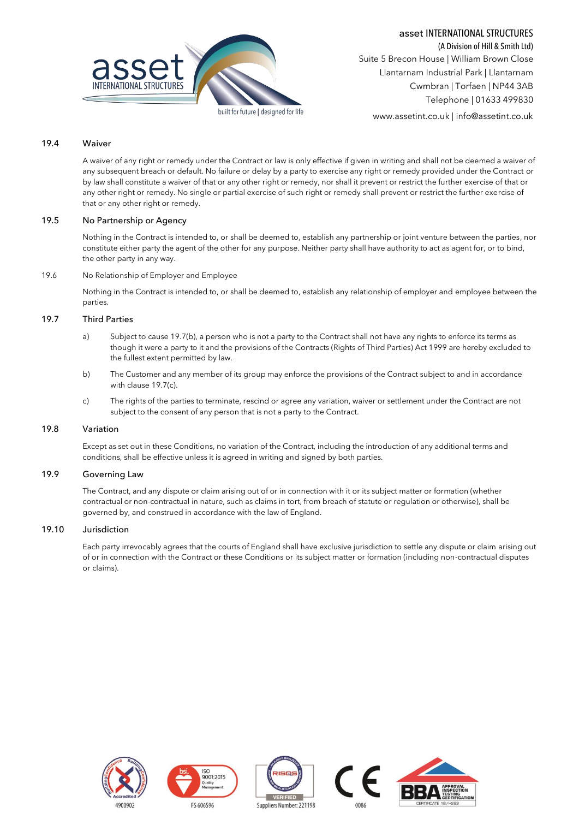



(A Division of Hill & Smith Ltd) Suite 5 Brecon House | William Brown Close Llantarnam Industrial Park | Llantarnam Cwmbran | Torfaen | NP44 3AB Telephone | 01633 499830

www.assetint.co.uk | info@assetint.co.uk

### 19.4 Waiver

A waiver of any right or remedy under the Contract or law is only effective if given in writing and shall not be deemed a waiver of any subsequent breach or default. No failure or delay by a party to exercise any right or remedy provided under the Contract or by law shall constitute a waiver of that or any other right or remedy, nor shall it prevent or restrict the further exercise of that or any other right or remedy. No single or partial exercise of such right or remedy shall prevent or restrict the further exercise of that or any other right or remedy.

#### 19.5 No Partnership or Agency

Nothing in the Contract is intended to, or shall be deemed to, establish any partnership or joint venture between the parties, nor constitute either party the agent of the other for any purpose. Neither party shall have authority to act as agent for, or to bind, the other party in any way.

19.6 No Relationship of Employer and Employee

Nothing in the Contract is intended to, or shall be deemed to, establish any relationship of employer and employee between the parties.

#### <span id="page-13-1"></span>19.7 Third Parties

- a) Subject to caus[e 19.7\(](#page-13-1)[b\),](#page-13-2) a person who is not a party to the Contract shall not have any rights to enforce its terms as though it were a party to it and the provisions of the Contracts (Rights of Third Parties) Act 1999 are hereby excluded to the fullest extent permitted by law.
- <span id="page-13-2"></span>b) The Customer and any member of its group may enforce the provisions of the Contract subject to and in accordance with claus[e 19.7](#page-13-1)[\(c\).](#page-13-3)
- c) The rights of the parties to terminate, rescind or agree any variation, waiver or settlement under the Contract are not subject to the consent of any person that is not a party to the Contract.

#### <span id="page-13-3"></span><span id="page-13-0"></span>19.8 Variation

Except as set out in these Conditions, no variation of the Contract, including the introduction of any additional terms and conditions, shall be effective unless it is agreed in writing and signed by both parties.

#### 19.9 Governing Law

The Contract, and any dispute or claim arising out of or in connection with it or its subject matter or formation (whether contractual or non-contractual in nature, such as claims in tort, from breach of statute or regulation or otherwise), shall be governed by, and construed in accordance with the law of England.

#### 19.10 Jurisdiction

Each party irrevocably agrees that the courts of England shall have exclusive jurisdiction to settle any dispute or claim arising out of or in connection with the Contract or these Conditions or its subject matter or formation (including non-contractual disputes or claims).